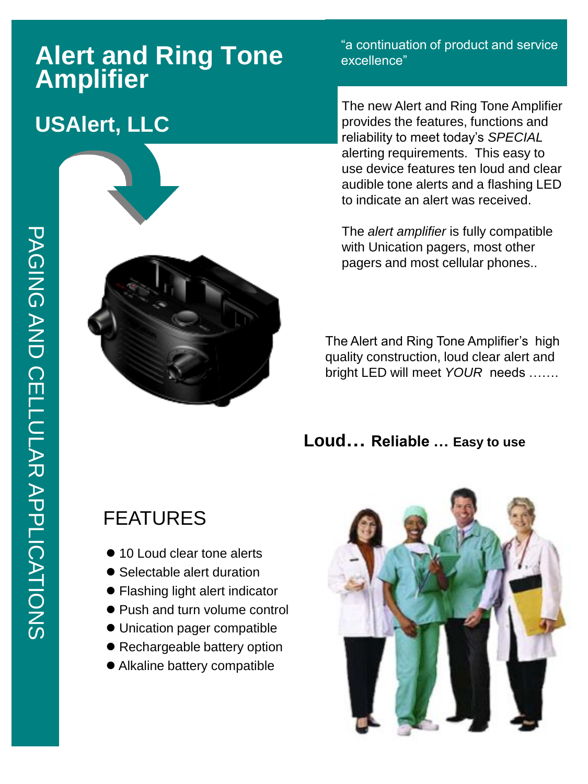# **Alert and Ring Tone Amplifier**

## **USAlert, LLC**



"a continuation of product and service excellence"

The new Alert and Ring Tone Amplifier provides the features, functions and reliability to meet today's *SPECIAL*  alerting requirements. This easy to use device features ten loud and clear audible tone alerts and a flashing LED to indicate an alert was received.

The *alert amplifier* is fully compatible with Unication pagers, most other pagers and most cellular phones..

The Alert and Ring Tone Amplifier's high quality construction, loud clear alert and bright LED will meet *YOUR* needs …….

**Loud… Reliable … Easy to use**

## FEATURES

- 10 Loud clear tone alerts
- Selectable alert duration
- Flashing light alert indicator
- Push and turn volume control
- Unication pager compatible
- Rechargeable battery option
- Alkaline battery compatible